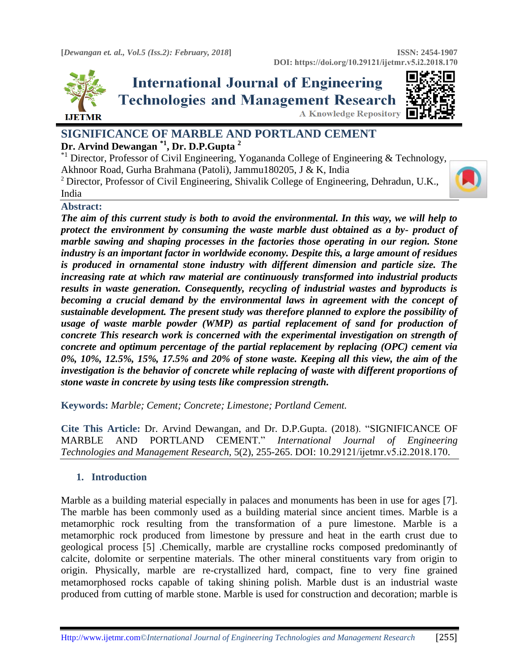

# **International Journal of Engineering Technologies and Management Research A Knowledge Repository**



# **SIGNIFICANCE OF MARBLE AND PORTLAND CEMENT Dr. Arvind Dewangan \*1 , Dr. D.P.Gupta <sup>2</sup>**

<sup>\*1</sup>Director, Professor of Civil Engineering, Yogananda College of Engineering & Technology, Akhnoor Road, Gurha Brahmana (Patoli), Jammu180205, J & K, India

<sup>2</sup> Director, Professor of Civil Engineering, Shivalik College of Engineering, Dehradun, U.K., India

## **Abstract:**

*The aim of this current study is both to avoid the environmental. In this way, we will help to protect the environment by consuming the waste marble dust obtained as a by- product of marble sawing and shaping processes in the factories those operating in our region. Stone industry is an important factor in worldwide economy. Despite this, a large amount of residues is produced in ornamental stone industry with different dimension and particle size. The increasing rate at which raw material are continuously transformed into industrial products results in waste generation. Consequently, recycling of industrial wastes and byproducts is becoming a crucial demand by the environmental laws in agreement with the concept of sustainable development. The present study was therefore planned to explore the possibility of usage of waste marble powder (WMP) as partial replacement of sand for production of concrete This research work is concerned with the experimental investigation on strength of concrete and optimum percentage of the partial replacement by replacing (OPC) cement via 0%, 10%, 12.5%, 15%, 17.5% and 20% of stone waste. Keeping all this view, the aim of the investigation is the behavior of concrete while replacing of waste with different proportions of stone waste in concrete by using tests like compression strength.*

**Keywords:** *Marble; Cement; Concrete; Limestone; Portland Cement.* 

**Cite This Article:** Dr. Arvind Dewangan, and Dr. D.P.Gupta. (2018). "SIGNIFICANCE OF MARBLE AND PORTLAND CEMENT." *International Journal of Engineering Technologies and Management Research,* 5(2), 255-265. DOI: 10.29121/ijetmr.v5.i2.2018.170.

## **1. Introduction**

Marble as a building material especially in palaces and monuments has been in use for ages [7]. The marble has been commonly used as a building material since ancient times. Marble is a metamorphic rock resulting from the transformation of a pure limestone. Marble is a metamorphic rock produced from limestone by pressure and heat in the earth crust due to geological process [5] .Chemically, marble are crystalline rocks composed predominantly of calcite, dolomite or serpentine materials. The other mineral constituents vary from origin to origin. Physically, marble are re-crystallized hard, compact, fine to very fine grained metamorphosed rocks capable of taking shining polish. Marble dust is an industrial waste produced from cutting of marble stone. Marble is used for construction and decoration; marble is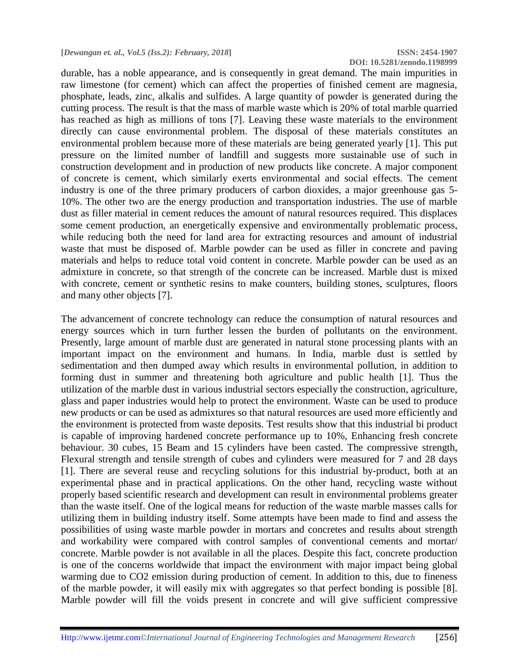**DOI: 10.5281/zenodo.1198999**

durable, has a noble appearance, and is consequently in great demand. The main impurities in raw limestone (for cement) which can affect the properties of finished cement are magnesia, phosphate, leads, zinc, alkalis and sulfides. A large quantity of powder is generated during the cutting process. The result is that the mass of marble waste which is 20% of total marble quarried has reached as high as millions of tons [7]. Leaving these waste materials to the environment directly can cause environmental problem. The disposal of these materials constitutes an environmental problem because more of these materials are being generated yearly [1]. This put pressure on the limited number of landfill and suggests more sustainable use of such in construction development and in production of new products like concrete. A major component of concrete is cement, which similarly exerts environmental and social effects. The cement industry is one of the three primary producers of carbon dioxides, a major greenhouse gas 5- 10%. The other two are the energy production and transportation industries. The use of marble dust as filler material in cement reduces the amount of natural resources required. This displaces some cement production, an energetically expensive and environmentally problematic process, while reducing both the need for land area for extracting resources and amount of industrial waste that must be disposed of. Marble powder can be used as filler in concrete and paving materials and helps to reduce total void content in concrete. Marble powder can be used as an admixture in concrete, so that strength of the concrete can be increased. Marble dust is mixed with concrete, cement or synthetic resins to make counters, building stones, sculptures, floors and many other objects [7].

The advancement of concrete technology can reduce the consumption of natural resources and energy sources which in turn further lessen the burden of pollutants on the environment. Presently, large amount of marble dust are generated in natural stone processing plants with an important impact on the environment and humans. In India, marble dust is settled by sedimentation and then dumped away which results in environmental pollution, in addition to forming dust in summer and threatening both agriculture and public health [1]. Thus the utilization of the marble dust in various industrial sectors especially the construction, agriculture, glass and paper industries would help to protect the environment. Waste can be used to produce new products or can be used as admixtures so that natural resources are used more efficiently and the environment is protected from waste deposits. Test results show that this industrial bi product is capable of improving hardened concrete performance up to 10%, Enhancing fresh concrete behaviour. 30 cubes, 15 Beam and 15 cylinders have been casted. The compressive strength, Flexural strength and tensile strength of cubes and cylinders were measured for 7 and 28 days [1]. There are several reuse and recycling solutions for this industrial by-product, both at an experimental phase and in practical applications. On the other hand, recycling waste without properly based scientific research and development can result in environmental problems greater than the waste itself. One of the logical means for reduction of the waste marble masses calls for utilizing them in building industry itself. Some attempts have been made to find and assess the possibilities of using waste marble powder in mortars and concretes and results about strength and workability were compared with control samples of conventional cements and mortar/ concrete. Marble powder is not available in all the places. Despite this fact, concrete production is one of the concerns worldwide that impact the environment with major impact being global warming due to CO2 emission during production of cement. In addition to this, due to fineness of the marble powder, it will easily mix with aggregates so that perfect bonding is possible [8]. Marble powder will fill the voids present in concrete and will give sufficient compressive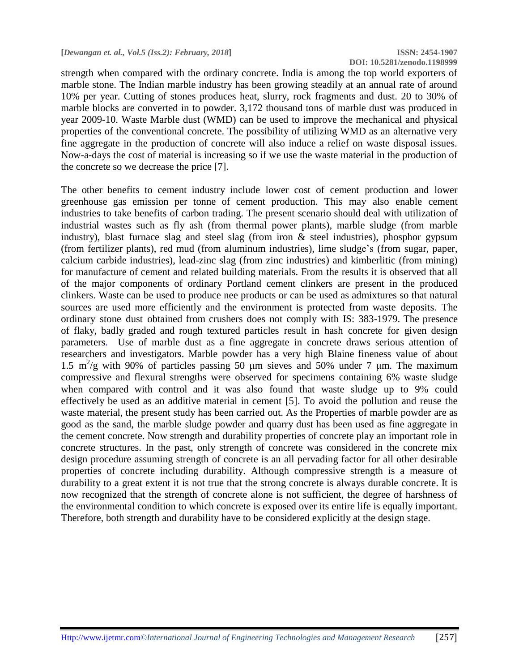strength when compared with the ordinary concrete. India is among the top world exporters of marble stone. The Indian marble industry has been growing steadily at an annual rate of around 10% per year. Cutting of stones produces heat, slurry, rock fragments and dust. 20 to 30% of marble blocks are converted in to powder. 3,172 thousand tons of marble dust was produced in year 2009-10. Waste Marble dust (WMD) can be used to improve the mechanical and physical properties of the conventional concrete. The possibility of utilizing WMD as an alternative very fine aggregate in the production of concrete will also induce a relief on waste disposal issues. Now-a-days the cost of material is increasing so if we use the waste material in the production of the concrete so we decrease the price [7].

The other benefits to cement industry include lower cost of cement production and lower greenhouse gas emission per tonne of cement production. This may also enable cement industries to take benefits of carbon trading. The present scenario should deal with utilization of industrial wastes such as fly ash (from thermal power plants), marble sludge (from marble industry), blast furnace slag and steel slag (from iron & steel industries), phosphor gypsum (from fertilizer plants), red mud (from aluminum industries), lime sludge's (from sugar, paper, calcium carbide industries), lead-zinc slag (from zinc industries) and kimberlitic (from mining) for manufacture of cement and related building materials. From the results it is observed that all of the major components of ordinary Portland cement clinkers are present in the produced clinkers. Waste can be used to produce nee products or can be used as admixtures so that natural sources are used more efficiently and the environment is protected from waste deposits. The ordinary stone dust obtained from crushers does not comply with IS: 383-1979. The presence of flaky, badly graded and rough textured particles result in hash concrete for given design parameters. Use of marble dust as a fine aggregate in concrete draws serious attention of researchers and investigators. Marble powder has a very high Blaine fineness value of about 1.5 m<sup>2</sup>/g with 90% of particles passing 50 μm sieves and 50% under 7 μm. The maximum compressive and flexural strengths were observed for specimens containing 6% waste sludge when compared with control and it was also found that waste sludge up to 9% could effectively be used as an additive material in cement [5]. To avoid the pollution and reuse the waste material, the present study has been carried out. As the Properties of marble powder are as good as the sand, the marble sludge powder and quarry dust has been used as fine aggregate in the cement concrete. Now strength and durability properties of concrete play an important role in concrete structures. In the past, only strength of concrete was considered in the concrete mix design procedure assuming strength of concrete is an all pervading factor for all other desirable properties of concrete including durability. Although compressive strength is a measure of durability to a great extent it is not true that the strong concrete is always durable concrete. It is now recognized that the strength of concrete alone is not sufficient, the degree of harshness of the environmental condition to which concrete is exposed over its entire life is equally important. Therefore, both strength and durability have to be considered explicitly at the design stage.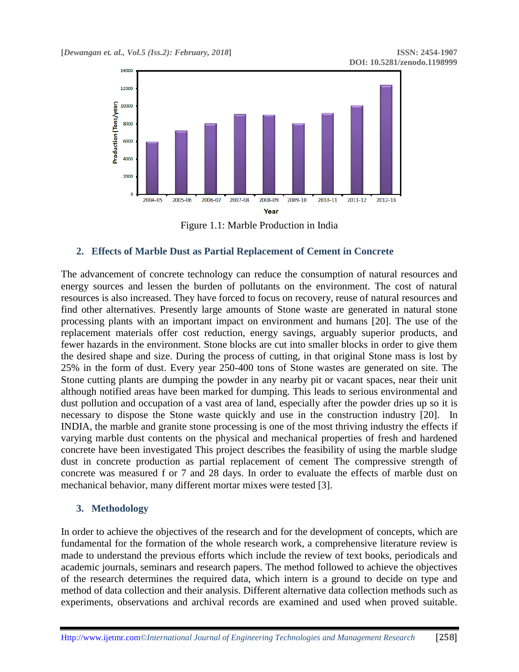

Figure 1.1: Marble Production in India

## **2. Effects of Marble Dust as Partial Replacement of Cement in Concrete**

The advancement of concrete technology can reduce the consumption of natural resources and energy sources and lessen the burden of pollutants on the environment. The cost of natural resources is also increased. They have forced to focus on recovery, reuse of natural resources and find other alternatives. Presently large amounts of Stone waste are generated in natural stone processing plants with an important impact on environment and humans [20]. The use of the replacement materials offer cost reduction, energy savings, arguably superior products, and fewer hazards in the environment. Stone blocks are cut into smaller blocks in order to give them the desired shape and size. During the process of cutting, in that original Stone mass is lost by 25% in the form of dust. Every year 250-400 tons of Stone wastes are generated on site. The Stone cutting plants are dumping the powder in any nearby pit or vacant spaces, near their unit although notified areas have been marked for dumping. This leads to serious environmental and dust pollution and occupation of a vast area of land, especially after the powder dries up so it is necessary to dispose the Stone waste quickly and use in the construction industry [20]. In INDIA, the marble and granite stone processing is one of the most thriving industry the effects if varying marble dust contents on the physical and mechanical properties of fresh and hardened concrete have been investigated This project describes the feasibility of using the marble sludge dust in concrete production as partial replacement of cement The compressive strength of concrete was measured f or 7 and 28 days. In order to evaluate the effects of marble dust on mechanical behavior, many different mortar mixes were tested [3].

#### **3. Methodology**

In order to achieve the objectives of the research and for the development of concepts, which are fundamental for the formation of the whole research work, a comprehensive literature review is made to understand the previous efforts which include the review of text books, periodicals and academic journals, seminars and research papers. The method followed to achieve the objectives of the research determines the required data, which intern is a ground to decide on type and method of data collection and their analysis. Different alternative data collection methods such as experiments, observations and archival records are examined and used when proved suitable.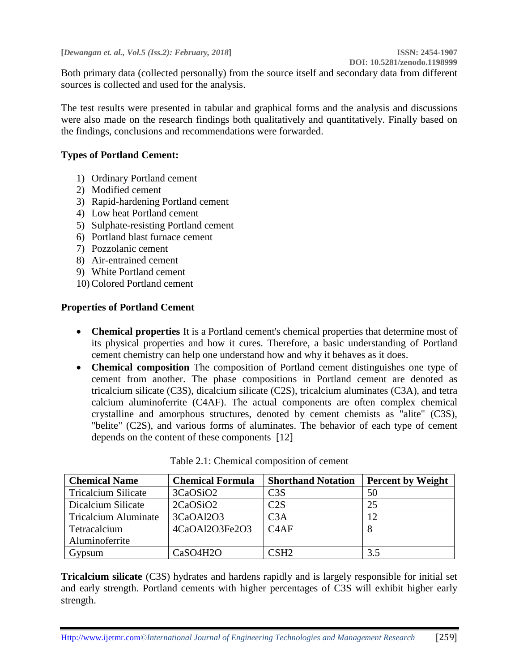Both primary data (collected personally) from the source itself and secondary data from different sources is collected and used for the analysis.

The test results were presented in tabular and graphical forms and the analysis and discussions were also made on the research findings both qualitatively and quantitatively. Finally based on the findings, conclusions and recommendations were forwarded.

## **Types of Portland Cement:**

- 1) Ordinary Portland cement
- 2) Modified cement
- 3) Rapid-hardening Portland cement
- 4) Low heat Portland cement
- 5) Sulphate-resisting Portland cement
- 6) Portland blast furnace cement
- 7) Pozzolanic cement
- 8) Air-entrained cement
- 9) White Portland cement
- 10)Colored Portland cement

## **Properties of Portland Cement**

- **Chemical properties** It is a Portland cement's chemical properties that determine most of its physical properties and how it cures. Therefore, a basic understanding of Portland cement chemistry can help one understand how and why it behaves as it does.
- **Chemical composition** The composition of Portland cement distinguishes one type of cement from another. The phase compositions in Portland cement are denoted as tricalcium silicate (C3S), dicalcium silicate (C2S), tricalcium aluminates (C3A), and tetra calcium aluminoferrite (C4AF). The actual components are often complex chemical crystalline and amorphous structures, denoted by cement chemists as "alite" (C3S), "belite" (C2S), and various forms of aluminates. The behavior of each type of cement depends on the content of these components [12]

| <b>Chemical Name</b>        | <b>Chemical Formula</b> | <b>Shorthand Notation</b> | <b>Percent by Weight</b> |
|-----------------------------|-------------------------|---------------------------|--------------------------|
| <b>Tricalcium Silicate</b>  | 3CaOSiO <sub>2</sub>    | C3S                       | 50                       |
| Dicalcium Silicate          | 2CaOSiO <sub>2</sub>    | C2S                       | 25                       |
| <b>Tricalcium Aluminate</b> | 3CaOAl2O3               | C3A                       | 12                       |
| Tetracalcium                | 4CaOAl2O3Fe2O3          | C4AF                      |                          |
| Aluminoferrite              |                         |                           |                          |
| Gypsum                      | CaSO4H2O                | CSH <sub>2</sub>          | 3.5                      |

Table 2.1: Chemical composition of cement

**Tricalcium silicate** (C3S) hydrates and hardens rapidly and is largely responsible for initial set and early strength. Portland cements with higher percentages of C3S will exhibit higher early strength.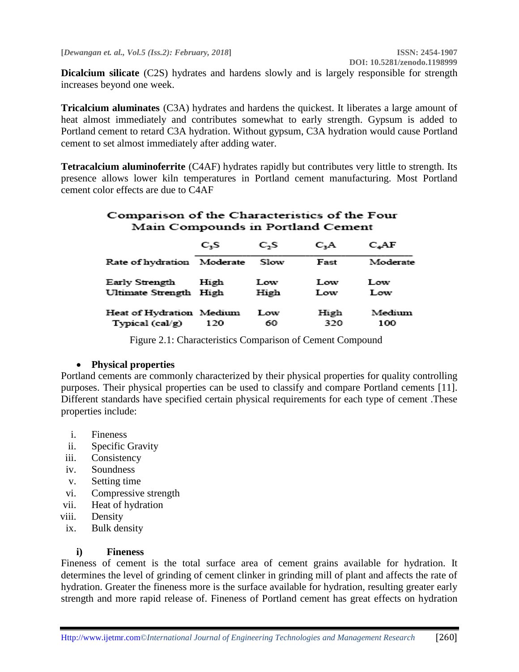**Dicalcium silicate** (C2S) hydrates and hardens slowly and is largely responsible for strength increases beyond one week.

**Tricalcium aluminates** (C3A) hydrates and hardens the quickest. It liberates a large amount of heat almost immediately and contributes somewhat to early strength. Gypsum is added to Portland cement to retard C3A hydration. Without gypsum, C3A hydration would cause Portland cement to set almost immediately after adding water.

**Tetracalcium aluminoferrite** (C4AF) hydrates rapidly but contributes very little to strength. Its presence allows lower kiln temperatures in Portland cement manufacturing. Most Portland cement color effects are due to C4AF

## Comparison of the Characteristics of the Four Main Compounds in Portland Cement

|                          | C <sub>3</sub> S | C <sub>2</sub> S | C <sub>a</sub> A | $C_{a}AF$ |
|--------------------------|------------------|------------------|------------------|-----------|
| Rate of hydration        | Moderate         | Slow             | Fast             | Moderate  |
| Early Strength           | High             | Low              | Low              | Low       |
| Ultimate Strength High   |                  | High             | Low              | Low       |
| Heat of Hydration Medium | 120              | Low              | High             | Medium    |
| Typical (cal/g)          |                  | 60               | 320              | 100       |

Figure 2.1: Characteristics Comparison of Cement Compound

## **Physical properties**

Portland cements are commonly characterized by their physical properties for quality controlling purposes. Their physical properties can be used to classify and compare Portland cements [11]. Different standards have specified certain physical requirements for each type of cement .These properties include:

- i. Fineness
- ii. Specific Gravity
- iii. Consistency
- iv. Soundness
- v. Setting time
- vi. Compressive strength
- vii. Heat of hydration
- viii. Density
- ix. Bulk density

## **i) Fineness**

Fineness of cement is the total surface area of cement grains available for hydration. It determines the level of grinding of cement clinker in grinding mill of plant and affects the rate of hydration. Greater the fineness more is the surface available for hydration, resulting greater early strength and more rapid release of. Fineness of Portland cement has great effects on hydration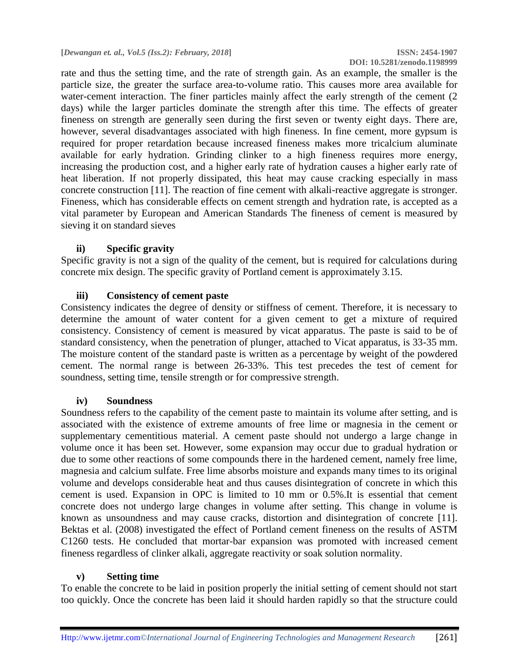rate and thus the setting time, and the rate of strength gain. As an example, the smaller is the particle size, the greater the surface area-to-volume ratio. This causes more area available for water-cement interaction. The finer particles mainly affect the early strength of the cement (2) days) while the larger particles dominate the strength after this time. The effects of greater fineness on strength are generally seen during the first seven or twenty eight days. There are, however, several disadvantages associated with high fineness. In fine cement, more gypsum is required for proper retardation because increased fineness makes more tricalcium aluminate available for early hydration. Grinding clinker to a high fineness requires more energy, increasing the production cost, and a higher early rate of hydration causes a higher early rate of heat liberation. If not properly dissipated, this heat may cause cracking especially in mass concrete construction [11]. The reaction of fine cement with alkali-reactive aggregate is stronger. Fineness, which has considerable effects on cement strength and hydration rate, is accepted as a vital parameter by European and American Standards The fineness of cement is measured by sieving it on standard sieves

## **ii) Specific gravity**

Specific gravity is not a sign of the quality of the cement, but is required for calculations during concrete mix design. The specific gravity of Portland cement is approximately 3.15.

## **iii) Consistency of cement paste**

Consistency indicates the degree of density or stiffness of cement. Therefore, it is necessary to determine the amount of water content for a given cement to get a mixture of required consistency. Consistency of cement is measured by vicat apparatus. The paste is said to be of standard consistency, when the penetration of plunger, attached to Vicat apparatus, is 33-35 mm. The moisture content of the standard paste is written as a percentage by weight of the powdered cement. The normal range is between 26-33%. This test precedes the test of cement for soundness, setting time, tensile strength or for compressive strength.

#### **iv) Soundness**

Soundness refers to the capability of the cement paste to maintain its volume after setting, and is associated with the existence of extreme amounts of free lime or magnesia in the cement or supplementary cementitious material. A cement paste should not undergo a large change in volume once it has been set. However, some expansion may occur due to gradual hydration or due to some other reactions of some compounds there in the hardened cement, namely free lime, magnesia and calcium sulfate. Free lime absorbs moisture and expands many times to its original volume and develops considerable heat and thus causes disintegration of concrete in which this cement is used. Expansion in OPC is limited to 10 mm or 0.5%.It is essential that cement concrete does not undergo large changes in volume after setting. This change in volume is known as unsoundness and may cause cracks, distortion and disintegration of concrete [11]. Bektas et al. (2008) investigated the effect of Portland cement fineness on the results of ASTM C1260 tests. He concluded that mortar-bar expansion was promoted with increased cement fineness regardless of clinker alkali, aggregate reactivity or soak solution normality.

#### **v) Setting time**

To enable the concrete to be laid in position properly the initial setting of cement should not start too quickly. Once the concrete has been laid it should harden rapidly so that the structure could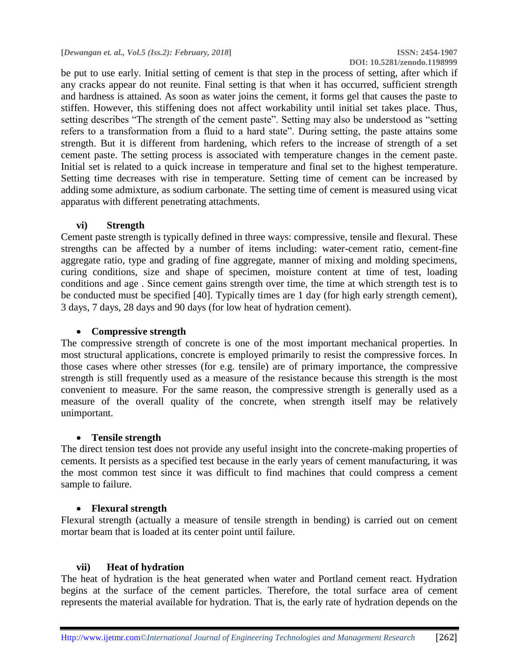**DOI: 10.5281/zenodo.1198999**

be put to use early. Initial setting of cement is that step in the process of setting, after which if any cracks appear do not reunite. Final setting is that when it has occurred, sufficient strength and hardness is attained. As soon as water joins the cement, it forms gel that causes the paste to stiffen. However, this stiffening does not affect workability until initial set takes place. Thus, setting describes "The strength of the cement paste". Setting may also be understood as "setting refers to a transformation from a fluid to a hard state". During setting, the paste attains some strength. But it is different from hardening, which refers to the increase of strength of a set cement paste. The setting process is associated with temperature changes in the cement paste. Initial set is related to a quick increase in temperature and final set to the highest temperature. Setting time decreases with rise in temperature. Setting time of cement can be increased by adding some admixture, as sodium carbonate. The setting time of cement is measured using vicat apparatus with different penetrating attachments.

#### **vi) Strength**

Cement paste strength is typically defined in three ways: compressive, tensile and flexural. These strengths can be affected by a number of items including: water-cement ratio, cement-fine aggregate ratio, type and grading of fine aggregate, manner of mixing and molding specimens, curing conditions, size and shape of specimen, moisture content at time of test, loading conditions and age . Since cement gains strength over time, the time at which strength test is to be conducted must be specified [40]. Typically times are 1 day (for high early strength cement), 3 days, 7 days, 28 days and 90 days (for low heat of hydration cement).

#### **Compressive strength**

The compressive strength of concrete is one of the most important mechanical properties. In most structural applications, concrete is employed primarily to resist the compressive forces. In those cases where other stresses (for e.g. tensile) are of primary importance, the compressive strength is still frequently used as a measure of the resistance because this strength is the most convenient to measure. For the same reason, the compressive strength is generally used as a measure of the overall quality of the concrete, when strength itself may be relatively unimportant.

#### **Tensile strength**

The direct tension test does not provide any useful insight into the concrete-making properties of cements. It persists as a specified test because in the early years of cement manufacturing, it was the most common test since it was difficult to find machines that could compress a cement sample to failure.

#### **Flexural strength**

Flexural strength (actually a measure of tensile strength in bending) is carried out on cement mortar beam that is loaded at its center point until failure.

## **vii) Heat of hydration**

The heat of hydration is the heat generated when water and Portland cement react. Hydration begins at the surface of the cement particles. Therefore, the total surface area of cement represents the material available for hydration. That is, the early rate of hydration depends on the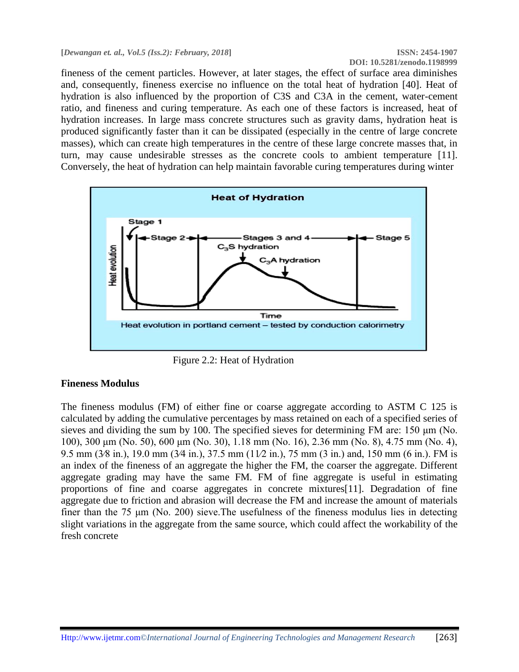fineness of the cement particles. However, at later stages, the effect of surface area diminishes and, consequently, fineness exercise no influence on the total heat of hydration [40]. Heat of hydration is also influenced by the proportion of C3S and C3A in the cement, water-cement ratio, and fineness and curing temperature. As each one of these factors is increased, heat of hydration increases. In large mass concrete structures such as gravity dams, hydration heat is produced significantly faster than it can be dissipated (especially in the centre of large concrete masses), which can create high temperatures in the centre of these large concrete masses that, in turn, may cause undesirable stresses as the concrete cools to ambient temperature [11]. Conversely, the heat of hydration can help maintain favorable curing temperatures during winter



Figure 2.2: Heat of Hydration

## **Fineness Modulus**

The fineness modulus (FM) of either fine or coarse aggregate according to ASTM C 125 is calculated by adding the cumulative percentages by mass retained on each of a specified series of sieves and dividing the sum by 100. The specified sieves for determining FM are: 150 μm (No. 100), 300 μm (No. 50), 600 μm (No. 30), 1.18 mm (No. 16), 2.36 mm (No. 8), 4.75 mm (No. 4), 9.5 mm (3⁄8 in.), 19.0 mm (3⁄4 in.), 37.5 mm (11⁄2 in.), 75 mm (3 in.) and, 150 mm (6 in.). FM is an index of the fineness of an aggregate the higher the FM, the coarser the aggregate. Different aggregate grading may have the same FM. FM of fine aggregate is useful in estimating proportions of fine and coarse aggregates in concrete mixtures[11]. Degradation of fine aggregate due to friction and abrasion will decrease the FM and increase the amount of materials finer than the 75 μm (No. 200) sieve.The usefulness of the fineness modulus lies in detecting slight variations in the aggregate from the same source, which could affect the workability of the fresh concrete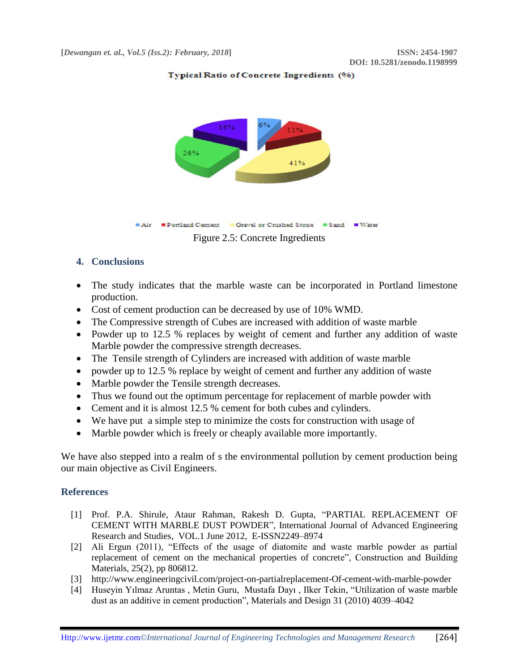



#### **4. Conclusions**

- The study indicates that the marble waste can be incorporated in Portland limestone production.
- Cost of cement production can be decreased by use of 10% WMD.
- The Compressive strength of Cubes are increased with addition of waste marble
- Powder up to 12.5 % replaces by weight of cement and further any addition of waste Marble powder the compressive strength decreases.
- The Tensile strength of Cylinders are increased with addition of waste marble
- powder up to 12.5 % replace by weight of cement and further any addition of waste
- Marble powder the Tensile strength decreases.
- Thus we found out the optimum percentage for replacement of marble powder with
- Cement and it is almost 12.5 % cement for both cubes and cylinders.
- We have put a simple step to minimize the costs for construction with usage of
- Marble powder which is freely or cheaply available more importantly.

We have also stepped into a realm of s the environmental pollution by cement production being our main objective as Civil Engineers.

#### **References**

- [1] Prof. P.A. Shirule, Ataur Rahman, Rakesh D. Gupta, "PARTIAL REPLACEMENT OF CEMENT WITH MARBLE DUST POWDER", International Journal of Advanced Engineering Research and Studies, VOL.1 June 2012, E-ISSN2249–8974
- [2] Ali Ergun (2011), "Effects of the usage of diatomite and waste marble powder as partial replacement of cement on the mechanical properties of concrete", Construction and Building Materials, 25(2), pp 806812.
- [3] http://www.engineeringcivil.com/project-on-partialreplacement-Of-cement-with-marble-powder
- [4] Huseyin Yılmaz Aruntas , Metin Guru, Mustafa Dayı , Ilker Tekin, "Utilization of waste marble dust as an additive in cement production", Materials and Design 31 (2010) 4039–4042